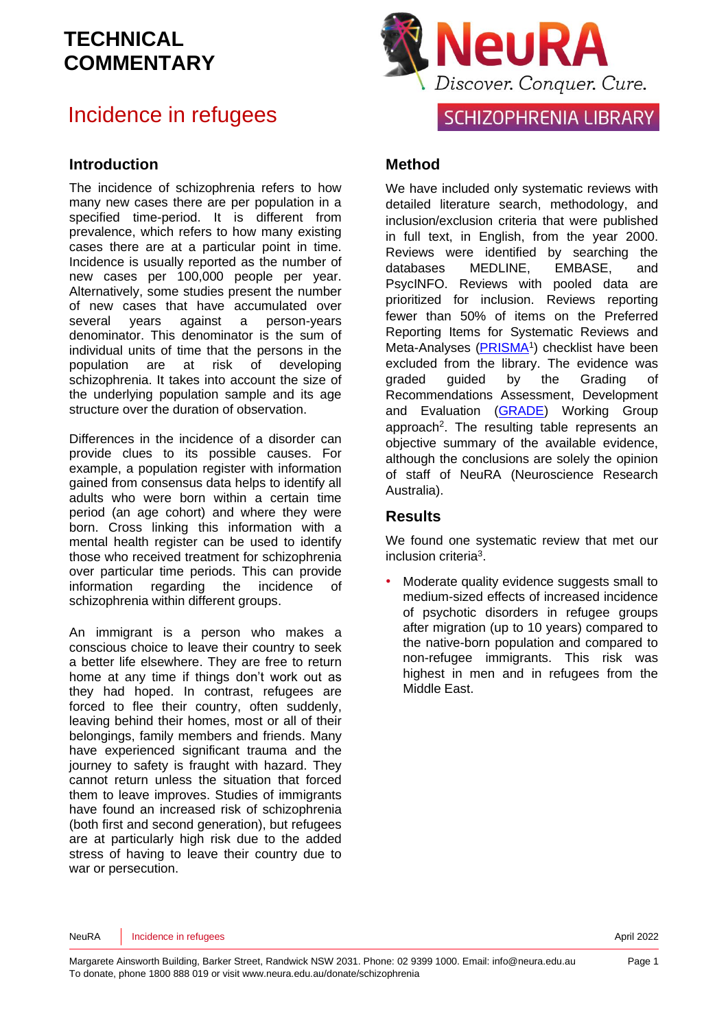### Incidence in refugees

#### **Introduction**

The incidence of schizophrenia refers to how many new cases there are per population in a specified time-period. It is different from prevalence, which refers to how many existing cases there are at a particular point in time. Incidence is usually reported as the number of new cases per 100,000 people per year. Alternatively, some studies present the number of new cases that have accumulated over several years against a person-years denominator. This denominator is the sum of individual units of time that the persons in the population are at risk of developing schizophrenia. It takes into account the size of the underlying population sample and its age structure over the duration of observation.

Differences in the incidence of a disorder can provide clues to its possible causes. For example, a population register with information gained from consensus data helps to identify all adults who were born within a certain time period (an age cohort) and where they were born. Cross linking this information with a mental health register can be used to identify those who received treatment for schizophrenia over particular time periods. This can provide information regarding the incidence of schizophrenia within different groups.

An immigrant is a person who makes a conscious choice to leave their country to seek a better life elsewhere. They are free to return home at any time if things don't work out as they had hoped. In contrast, refugees are forced to flee their country, often suddenly, leaving behind their homes, most or all of their belongings, family members and friends. Many have experienced significant trauma and the journey to safety is fraught with hazard. They cannot return unless the situation that forced them to leave improves. Studies of immigrants have found an increased risk of schizophrenia (both first and second generation), but refugees are at particularly high risk due to the added stress of having to leave their country due to war or persecution.



**SCHIZOPHRENIA LIBRARY** 

#### **Method**

We have included only systematic reviews with detailed literature search, methodology, and inclusion/exclusion criteria that were published in full text, in English, from the year 2000. Reviews were identified by searching the databases MEDLINE, EMBASE, and PsycINFO. Reviews with pooled data are prioritized for inclusion. Reviews reporting fewer than 50% of items on the Preferred Reporting Items for Systematic Reviews and Meta-Analyses [\(PRISMA](http://www.prisma-statement.org/)<sup>1</sup>) checklist have been excluded from the library. The evidence was graded guided by the Grading of Recommendations Assessment, Development and Evaluation [\(GRADE\)](http://www.gradeworkinggroup.org/) Working Group approach<sup>[2](#page-5-1)</sup>. The resulting table represents an objective summary of the available evidence, although the conclusions are solely the opinion of staff of NeuRA (Neuroscience Research Australia).

#### **Results**

We found one systematic review that met our inclusion criteri[a](#page-5-2)<sup>3</sup>.

• Moderate quality evidence suggests small to medium-sized effects of increased incidence of psychotic disorders in refugee groups after migration (up to 10 years) compared to the native-born population and compared to non-refugee immigrants. This risk was highest in men and in refugees from the Middle East.

NeuRA | Incidence in refugees April 2022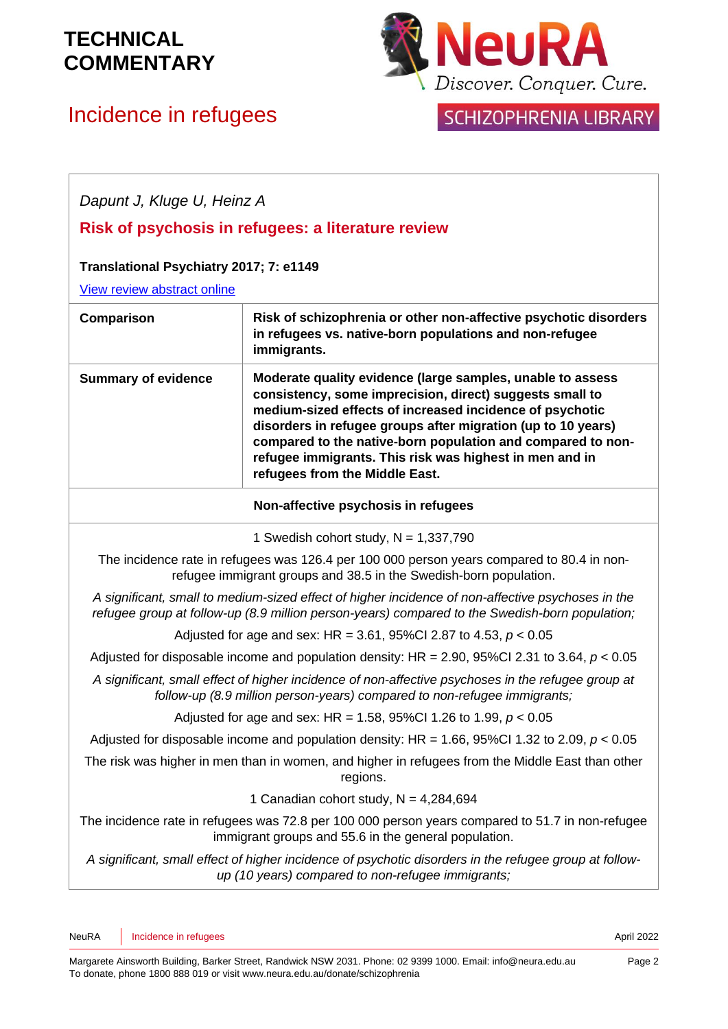# Incidence in refugees



## SCHIZOPHRENIA LIBRARY

| Dapunt J, Kluge U, Heinz A                                                                                                                                                                          |                                                                                                                                                                                                                                                                                                                                                                                                                |  |
|-----------------------------------------------------------------------------------------------------------------------------------------------------------------------------------------------------|----------------------------------------------------------------------------------------------------------------------------------------------------------------------------------------------------------------------------------------------------------------------------------------------------------------------------------------------------------------------------------------------------------------|--|
| Risk of psychosis in refugees: a literature review                                                                                                                                                  |                                                                                                                                                                                                                                                                                                                                                                                                                |  |
| Translational Psychiatry 2017; 7: e1149<br>View review abstract online                                                                                                                              |                                                                                                                                                                                                                                                                                                                                                                                                                |  |
| Comparison                                                                                                                                                                                          | Risk of schizophrenia or other non-affective psychotic disorders<br>in refugees vs. native-born populations and non-refugee<br>immigrants.                                                                                                                                                                                                                                                                     |  |
| <b>Summary of evidence</b>                                                                                                                                                                          | Moderate quality evidence (large samples, unable to assess<br>consistency, some imprecision, direct) suggests small to<br>medium-sized effects of increased incidence of psychotic<br>disorders in refugee groups after migration (up to 10 years)<br>compared to the native-born population and compared to non-<br>refugee immigrants. This risk was highest in men and in<br>refugees from the Middle East. |  |
| Non-affective psychosis in refugees                                                                                                                                                                 |                                                                                                                                                                                                                                                                                                                                                                                                                |  |
| 1 Swedish cohort study, $N = 1,337,790$                                                                                                                                                             |                                                                                                                                                                                                                                                                                                                                                                                                                |  |
| The incidence rate in refugees was 126.4 per 100 000 person years compared to 80.4 in non-<br>refugee immigrant groups and 38.5 in the Swedish-born population.                                     |                                                                                                                                                                                                                                                                                                                                                                                                                |  |
| A significant, small to medium-sized effect of higher incidence of non-affective psychoses in the<br>refugee group at follow-up (8.9 million person-years) compared to the Swedish-born population; |                                                                                                                                                                                                                                                                                                                                                                                                                |  |
| Adjusted for age and sex: HR = 3.61, 95%Cl 2.87 to 4.53, $p < 0.05$                                                                                                                                 |                                                                                                                                                                                                                                                                                                                                                                                                                |  |
| Adjusted for disposable income and population density: HR = $2.90$ , 95%Cl 2.31 to 3.64, $p < 0.05$                                                                                                 |                                                                                                                                                                                                                                                                                                                                                                                                                |  |
| A significant, small effect of higher incidence of non-affective psychoses in the refugee group at<br>follow-up (8.9 million person-years) compared to non-refugee immigrants;                      |                                                                                                                                                                                                                                                                                                                                                                                                                |  |
| Adjusted for age and sex: HR = 1.58, 95%Cl 1.26 to 1.99, $p < 0.05$                                                                                                                                 |                                                                                                                                                                                                                                                                                                                                                                                                                |  |
| Adjusted for disposable income and population density: HR = 1.66, 95%Cl 1.32 to 2.09, $p < 0.05$                                                                                                    |                                                                                                                                                                                                                                                                                                                                                                                                                |  |
| The risk was higher in men than in women, and higher in refugees from the Middle East than other<br>regions.                                                                                        |                                                                                                                                                                                                                                                                                                                                                                                                                |  |
| 1 Canadian cohort study, $N = 4,284,694$                                                                                                                                                            |                                                                                                                                                                                                                                                                                                                                                                                                                |  |
| The incidence rate in refugees was 72.8 per 100 000 person years compared to 51.7 in non-refugee<br>immigrant groups and 55.6 in the general population.                                            |                                                                                                                                                                                                                                                                                                                                                                                                                |  |
| A significant, small effect of higher incidence of psychotic disorders in the refugee group at follow-<br>up (10 years) compared to non-refugee immigrants;                                         |                                                                                                                                                                                                                                                                                                                                                                                                                |  |
|                                                                                                                                                                                                     |                                                                                                                                                                                                                                                                                                                                                                                                                |  |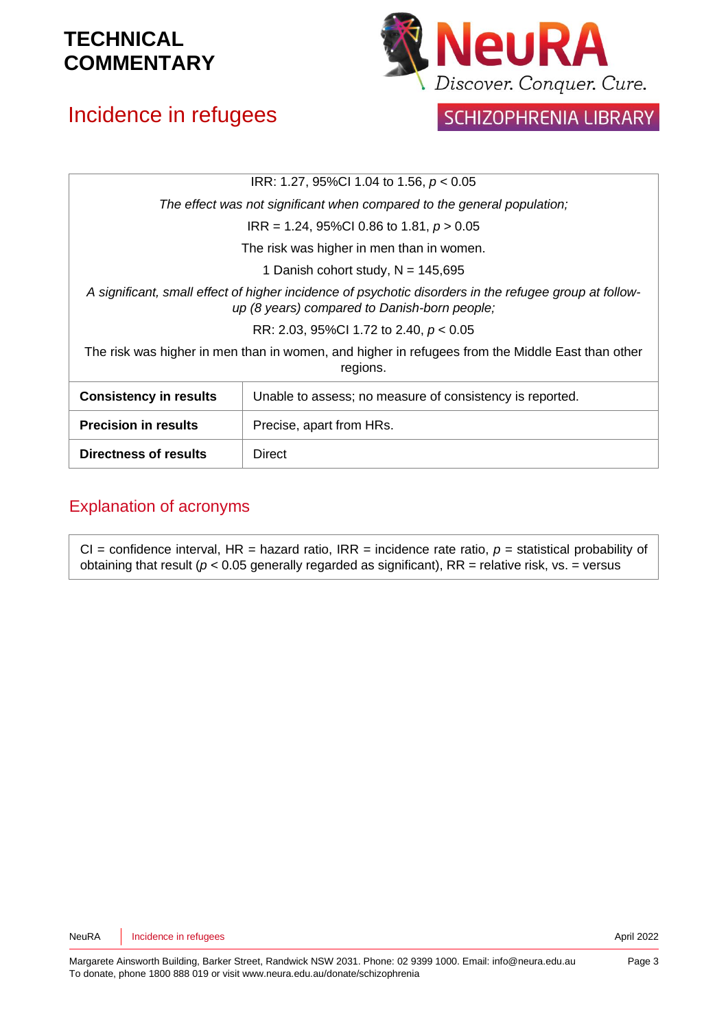# Incidence in refugees



#### SCHIZOPHRENIA LIBRARY

| IRR: 1.27, 95%CI 1.04 to 1.56, $p < 0.05$                                                                                                              |                                                          |  |
|--------------------------------------------------------------------------------------------------------------------------------------------------------|----------------------------------------------------------|--|
| The effect was not significant when compared to the general population;                                                                                |                                                          |  |
| $IRR = 1.24, 95\% CI 0.86$ to 1.81, $p > 0.05$                                                                                                         |                                                          |  |
| The risk was higher in men than in women.                                                                                                              |                                                          |  |
| 1 Danish cohort study, $N = 145,695$                                                                                                                   |                                                          |  |
| A significant, small effect of higher incidence of psychotic disorders in the refugee group at follow-<br>up (8 years) compared to Danish-born people; |                                                          |  |
| RR: 2.03, 95%Cl 1.72 to 2.40, $p < 0.05$                                                                                                               |                                                          |  |
| The risk was higher in men than in women, and higher in refugees from the Middle East than other<br>regions.                                           |                                                          |  |
| <b>Consistency in results</b>                                                                                                                          | Unable to assess; no measure of consistency is reported. |  |
| <b>Precision in results</b>                                                                                                                            | Precise, apart from HRs.                                 |  |
| Directness of results                                                                                                                                  | Direct                                                   |  |

#### Explanation of acronyms

CI = confidence interval, HR = hazard ratio, IRR = incidence rate ratio,  $p$  = statistical probability of obtaining that result ( $p < 0.05$  generally regarded as significant), RR = relative risk, vs. = versus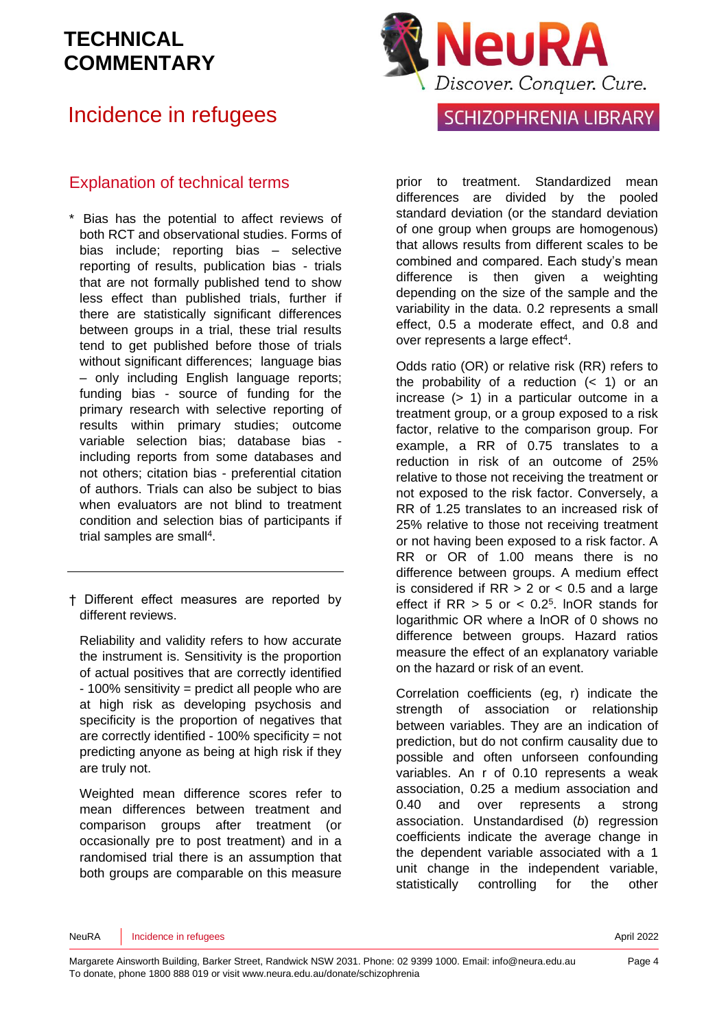### Incidence in refugees

#### Explanation of technical terms

- \* Bias has the potential to affect reviews of both RCT and observational studies. Forms of bias include; reporting bias – selective reporting of results, publication bias - trials that are not formally published tend to show less effect than published trials, further if there are statistically significant differences between groups in a trial, these trial results tend to get published before those of trials without significant differences; language bias – only including English language reports; funding bias - source of funding for the primary research with selective reporting of results within primary studies; outcome variable selection bias; database bias including reports from some databases and not others; citation bias - preferential citation of authors. Trials can also be subject to bias when evaluators are not blind to treatment condition and selection bias of participants if trial samples are sma[ll](#page-5-3)<sup>4</sup>.
- † Different effect measures are reported by different reviews.

Reliability and validity refers to how accurate the instrument is. Sensitivity is the proportion of actual positives that are correctly identified - 100% sensitivity = predict all people who are at high risk as developing psychosis and specificity is the proportion of negatives that are correctly identified - 100% specificity = not predicting anyone as being at high risk if they are truly not.

Weighted mean difference scores refer to mean differences between treatment and comparison groups after treatment (or occasionally pre to post treatment) and in a randomised trial there is an assumption that both groups are comparable on this measure



#### SCHIZOPHRENIA LIBRARY

prior to treatment. Standardized mean differences are divided by the pooled standard deviation (or the standard deviation of one group when groups are homogenous) that allows results from different scales to be combined and compared. Each study's mean difference is then given a weighting depending on the size of the sample and the variability in the data. 0.2 represents a small effect, 0.5 a moderate effect, and 0.8 and over represen[t](#page-5-3)s a large effect<sup>4</sup>.

Odds ratio (OR) or relative risk (RR) refers to the probability of a reduction  $($   $<$  1) or an increase (> 1) in a particular outcome in a treatment group, or a group exposed to a risk factor, relative to the comparison group. For example, a RR of 0.75 translates to a reduction in risk of an outcome of 25% relative to those not receiving the treatment or not exposed to the risk factor. Conversely, a RR of 1.25 translates to an increased risk of 25% relative to those not receiving treatment or not having been exposed to a risk factor. A RR or OR of 1.00 means there is no difference between groups. A medium effect is considered if  $RR > 2$  or  $< 0.5$  and a large effect if  $RR > 5$  or  $< 0.2<sup>5</sup>$  $< 0.2<sup>5</sup>$  $< 0.2<sup>5</sup>$ . InOR stands for logarithmic OR where a lnOR of 0 shows no difference between groups. Hazard ratios measure the effect of an explanatory variable on the hazard or risk of an event.

Correlation coefficients (eg, r) indicate the strength of association or relationship between variables. They are an indication of prediction, but do not confirm causality due to possible and often unforseen confounding variables. An r of 0.10 represents a weak association, 0.25 a medium association and 0.40 and over represents a strong association. Unstandardised (*b*) regression coefficients indicate the average change in the dependent variable associated with a 1 unit change in the independent variable, statistically controlling for the other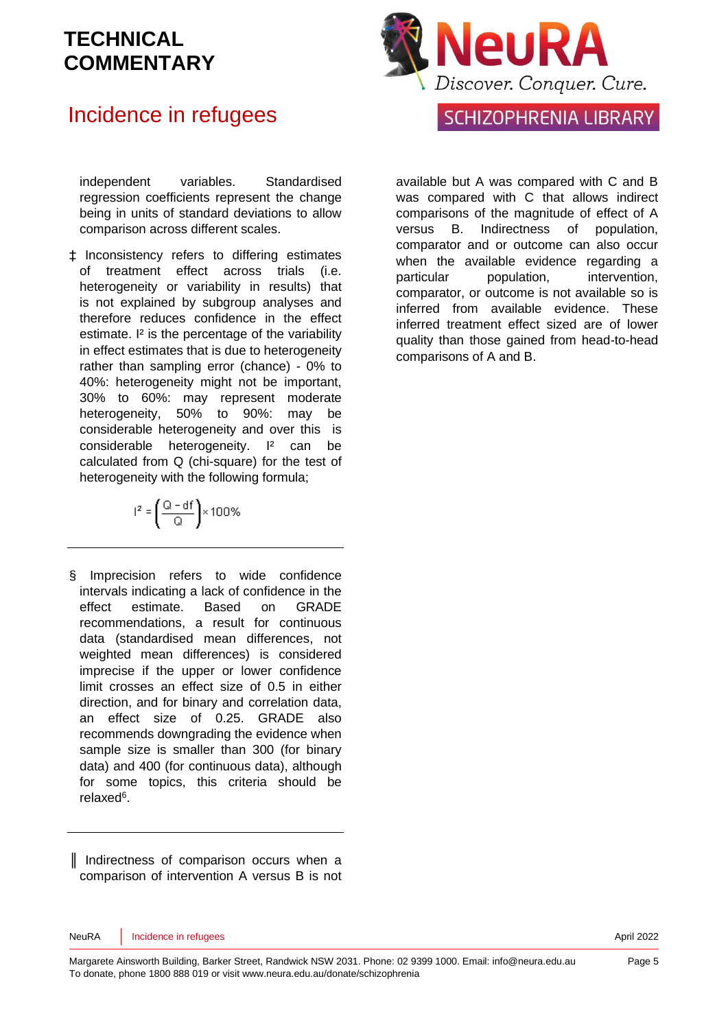### Incidence in refugees

independent variables. Standardised regression coefficients represent the change being in units of standard deviations to allow comparison across different scales.

‡ Inconsistency refers to differing estimates of treatment effect across trials (i.e. heterogeneity or variability in results) that is not explained by subgroup analyses and therefore reduces confidence in the effect estimate. <sup>12</sup> is the percentage of the variability in effect estimates that is due to heterogeneity rather than sampling error (chance) - 0% to 40%: heterogeneity might not be important, 30% to 60%: may represent moderate heterogeneity, 50% to 90%: may be considerable heterogeneity and over this is considerable heterogeneity. I² can be calculated from Q (chi-square) for the test of heterogeneity with the following formula;

$$
I^2=\left(\frac{Q-df}{Q}\right)\times 100\%
$$

§ Imprecision refers to wide confidence intervals indicating a lack of confidence in the effect estimate. Based on GRADE recommendations, a result for continuous data (standardised mean differences, not weighted mean differences) is considered imprecise if the upper or lower confidence limit crosses an effect size of 0.5 in either direction, and for binary and correlation data, an effect size of 0.25. GRADE also recommends downgrading the evidence when sample size is smaller than 300 (for binary data) and 400 (for continuous data), although for some topics, this criteria should be relaxe[d](#page-5-5)<sup>6</sup>.

║ Indirectness of comparison occurs when a comparison of intervention A versus B is not



#### **SCHIZOPHRENIA LIBRARY**

available but A was compared with C and B was compared with C that allows indirect comparisons of the magnitude of effect of A versus B. Indirectness of population, comparator and or outcome can also occur when the available evidence regarding a particular population, intervention, comparator, or outcome is not available so is inferred from available evidence. These inferred treatment effect sized are of lower quality than those gained from head-to-head comparisons of A and B.